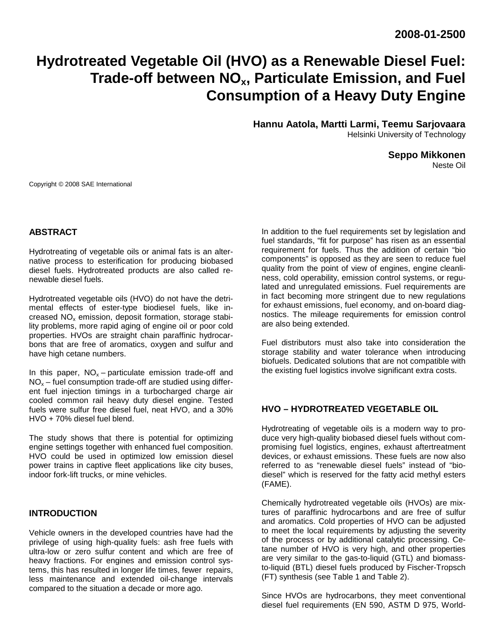# **Hydrotreated Vegetable Oil (HVO) as a Renewable Diesel Fuel: Trade-off between NOx, Particulate Emission, and Fuel Consumption of a Heavy Duty Engine**

**Hannu Aatola, Martti Larmi, Teemu Sarjovaara**  Helsinki University of Technology

> **Seppo Mikkonen**  Neste Oil

Copyright © 2008 SAE International

## **ABSTRACT**

Hydrotreating of vegetable oils or animal fats is an alternative process to esterification for producing biobased diesel fuels. Hydrotreated products are also called renewable diesel fuels.

Hydrotreated vegetable oils (HVO) do not have the detrimental effects of ester-type biodiesel fuels, like increased  $NO<sub>x</sub>$  emission, deposit formation, storage stability problems, more rapid aging of engine oil or poor cold properties. HVOs are straight chain paraffinic hydrocarbons that are free of aromatics, oxygen and sulfur and have high cetane numbers.

In this paper,  $NO<sub>x</sub>$  – particulate emission trade-off and  $NO<sub>x</sub>$  – fuel consumption trade-off are studied using different fuel injection timings in a turbocharged charge air cooled common rail heavy duty diesel engine. Tested fuels were sulfur free diesel fuel, neat HVO, and a 30% HVO + 70% diesel fuel blend.

The study shows that there is potential for optimizing engine settings together with enhanced fuel composition. HVO could be used in optimized low emission diesel power trains in captive fleet applications like city buses, indoor fork-lift trucks, or mine vehicles.

#### **INTRODUCTION**

Vehicle owners in the developed countries have had the privilege of using high-quality fuels: ash free fuels with ultra-low or zero sulfur content and which are free of heavy fractions. For engines and emission control systems, this has resulted in longer life times, fewer repairs, less maintenance and extended oil-change intervals compared to the situation a decade or more ago.

In addition to the fuel requirements set by legislation and fuel standards, "fit for purpose" has risen as an essential requirement for fuels. Thus the addition of certain "bio components" is opposed as they are seen to reduce fuel quality from the point of view of engines, engine cleanliness, cold operability, emission control systems, or regulated and unregulated emissions. Fuel requirements are in fact becoming more stringent due to new regulations for exhaust emissions, fuel economy, and on-board diagnostics. The mileage requirements for emission control are also being extended.

Fuel distributors must also take into consideration the storage stability and water tolerance when introducing biofuels. Dedicated solutions that are not compatible with the existing fuel logistics involve significant extra costs.

## **HVO – HYDROTREATED VEGETABLE OIL**

Hydrotreating of vegetable oils is a modern way to produce very high-quality biobased diesel fuels without compromising fuel logistics, engines, exhaust aftertreatment devices, or exhaust emissions. These fuels are now also referred to as "renewable diesel fuels" instead of "biodiesel" which is reserved for the fatty acid methyl esters (FAME).

Chemically hydrotreated vegetable oils (HVOs) are mixtures of paraffinic hydrocarbons and are free of sulfur and aromatics. Cold properties of HVO can be adjusted to meet the local requirements by adjusting the severity of the process or by additional catalytic processing. Cetane number of HVO is very high, and other properties are very similar to the gas-to-liquid (GTL) and biomassto-liquid (BTL) diesel fuels produced by Fischer-Tropsch (FT) synthesis (see Table 1 and Table 2).

Since HVOs are hydrocarbons, they meet conventional diesel fuel requirements (EN 590, ASTM D 975, World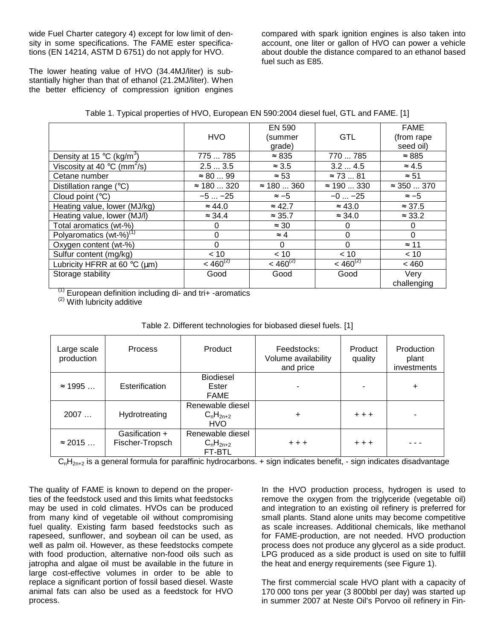wide Fuel Charter category 4) except for low limit of density in some specifications. The FAME ester specifications (EN 14214, ASTM D 6751) do not apply for HVO.

The lower heating value of HVO (34.4MJ/liter) is substantially higher than that of ethanol (21.2MJ/liter). When the better efficiency of compression ignition engines

compared with spark ignition engines is also taken into account, one liter or gallon of HVO can power a vehicle about double the distance compared to an ethanol based fuel such as E85.

| Table 1. Typical properties of HVO, European EN 590:2004 diesel fuel, GTL and FAME. [1] |  |
|-----------------------------------------------------------------------------------------|--|
|                                                                                         |  |

|                                         |                | <b>EN 590</b>          |                        | <b>FAME</b>      |
|-----------------------------------------|----------------|------------------------|------------------------|------------------|
|                                         | <b>HVO</b>     | (summer                | GTL                    | (from rape       |
|                                         |                | grade)                 |                        | seed oil)        |
| Density at 15 °C (kg/m <sup>3</sup> )   | 775  785       | $\approx 835$          | 770  785               | $\approx 885$    |
| Viscosity at 40 °C (mm <sup>2</sup> /s) | 2.53.5         | $\approx$ 3.5          | 3.24.5                 | $\approx 4.5$    |
| Cetane number                           | $\approx 8099$ | $\approx 53$           | $\approx 7381$         | $\approx 51$     |
| Distillation range $(°C)$               | ≈ 180  320     | $\approx$ 180  360     | $\approx$ 190  330     | $\approx 350370$ |
| Cloud point $(^{\circ}C)$               | $-5 -25$       | $\approx -5$           | $-0$ $-25$             | $\approx -5$     |
| Heating value, lower (MJ/kg)            | $\approx 44.0$ | $\approx 42.7$         | $\approx 43.0$         | $\approx$ 37.5   |
| Heating value, lower (MJ/l)             | $\approx$ 34.4 | $\approx$ 35.7         | $\approx$ 34.0         | $\approx$ 33.2   |
| Total aromatics (wt-%)                  | 0              | $\approx$ 30           | 0                      | 0                |
| Polyaromatics (wt-%) <sup>(1)</sup>     | $\Omega$       | $\approx$ 4            | $\boldsymbol{0}$       | $\Omega$         |
| Oxygen content (wt-%)                   | $\Omega$       | $\mathbf{0}$           | $\Omega$               | $\approx$ 11     |
| Sulfur content (mg/kg)                  | < 10           | < 10                   | < 10                   | < 10             |
| Lubricity HFRR at 60 $\degree$ C (µm)   | $< 460^{(2)}$  | $<$ 460 <sup>(2)</sup> | $<$ 460 <sup>(2)</sup> | < 460            |
| Storage stability                       | Good           | Good                   | Good                   | Very             |
|                                         |                |                        |                        | challenging      |

 $(1)$  European definition including di- and tri+-aromatics

 $(2)$  With lubricity additive

| Large scale<br>production | <b>Process</b>                    | Product                                         | Feedstocks:<br>Volume availability<br>and price | Product<br>quality | Production<br>plant<br>investments |
|---------------------------|-----------------------------------|-------------------------------------------------|-------------------------------------------------|--------------------|------------------------------------|
| $\approx$ 1995            | Esterification                    | <b>Biodiesel</b><br>Ester<br><b>FAME</b>        |                                                 |                    | $\ddot{}$                          |
| 2007                      | Hydrotreating                     | Renewable diesel<br>$C_nH_{2n+2}$<br><b>HVO</b> | ÷                                               | $+ + +$            |                                    |
| $\approx$ 2015            | Gasification +<br>Fischer-Tropsch | Renewable diesel<br>$C_nH_{2n+2}$<br>FT-BTL     | $+ + +$                                         | $+ + +$            |                                    |

#### Table 2. Different technologies for biobased diesel fuels. [1]

 $C_nH_{2n+2}$  is a general formula for paraffinic hydrocarbons. + sign indicates benefit, - sign indicates disadvantage

The quality of FAME is known to depend on the properties of the feedstock used and this limits what feedstocks may be used in cold climates. HVOs can be produced from many kind of vegetable oil without compromising fuel quality. Existing farm based feedstocks such as rapeseed, sunflower, and soybean oil can be used, as well as palm oil. However, as these feedstocks compete with food production, alternative non-food oils such as jatropha and algae oil must be available in the future in large cost-effective volumes in order to be able to replace a significant portion of fossil based diesel. Waste animal fats can also be used as a feedstock for HVO process.

In the HVO production process, hydrogen is used to remove the oxygen from the triglyceride (vegetable oil) and integration to an existing oil refinery is preferred for small plants. Stand alone units may become competitive as scale increases. Additional chemicals, like methanol for FAME-production, are not needed. HVO production process does not produce any glycerol as a side product. LPG produced as a side product is used on site to fulfill the heat and energy requirements (see Figure 1).

The first commercial scale HVO plant with a capacity of 170 000 tons per year (3 800bbl per day) was started up in summer 2007 at Neste Oil's Porvoo oil refinery in Fin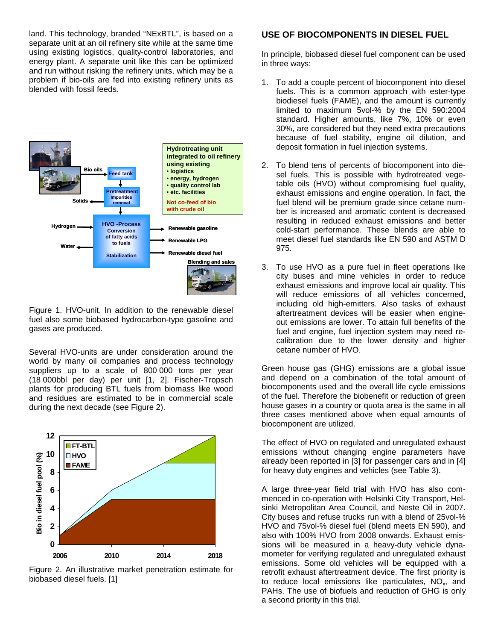land. This technology, branded "NExBTL", is based on a separate unit at an oil refinery site while at the same time using existing logistics, quality-control laboratories, and energy plant. A separate unit like this can be optimized and run without risking the refinery units, which may be a problem if bio-oils are fed into existing refinery units as blended with fossil feeds.



Figure 1. HVO-unit. In addition to the renewable diesel fuel also some biobased hydrocarbon-type gasoline and gases are produced.

Several HVO-units are under consideration around the world by many oil companies and process technology suppliers up to a scale of 800 000 tons per year (18 000bbl per day) per unit [1, 2]. Fischer-Tropsch plants for producing BTL fuels from biomass like wood and residues are estimated to be in commercial scale during the next decade (see Figure 2).



Figure 2. An illustrative market penetration estimate for biobased diesel fuels. [1]

#### **USE OF BIOCOMPONENTS IN DIESEL FUEL**

In principle, biobased diesel fuel component can be used in three ways:

- 1. To add a couple percent of biocomponent into diesel fuels. This is a common approach with ester-type biodiesel fuels (FAME), and the amount is currently limited to maximum 5vol-% by the EN 590:2004 standard. Higher amounts, like 7%, 10% or even 30%, are considered but they need extra precautions because of fuel stability, engine oil dilution, and deposit formation in fuel injection systems.
- 2. To blend tens of percents of biocomponent into diesel fuels. This is possible with hydrotreated vegetable oils (HVO) without compromising fuel quality, exhaust emissions and engine operation. In fact, the fuel blend will be premium grade since cetane number is increased and aromatic content is decreased resulting in reduced exhaust emissions and better cold-start performance. These blends are able to meet diesel fuel standards like EN 590 and ASTM D 975.
- 3. To use HVO as a pure fuel in fleet operations like city buses and mine vehicles in order to reduce exhaust emissions and improve local air quality. This will reduce emissions of all vehicles concerned, including old high-emitters. Also tasks of exhaust aftertreatment devices will be easier when engineout emissions are lower. To attain full benefits of the fuel and engine, fuel injection system may need recalibration due to the lower density and higher cetane number of HVO.

Green house gas (GHG) emissions are a global issue and depend on a combination of the total amount of biocomponents used and the overall life cycle emissions of the fuel. Therefore the biobenefit or reduction of green house gases in a country or quota area is the same in all three cases mentioned above when equal amounts of biocomponent are utilized.

The effect of HVO on regulated and unregulated exhaust emissions without changing engine parameters have already been reported in [3] for passenger cars and in [4] for heavy duty engines and vehicles (see Table 3).

A large three-year field trial with HVO has also commenced in co-operation with Helsinki City Transport, Helsinki Metropolitan Area Council, and Neste Oil in 2007. City buses and refuse trucks run with a blend of 25vol-% HVO and 75vol-% diesel fuel (blend meets EN 590), and also with 100% HVO from 2008 onwards. Exhaust emissions will be measured in a heavy-duty vehicle dynamometer for verifying regulated and unregulated exhaust emissions. Some old vehicles will be equipped with a retrofit exhaust aftertreatment device. The first priority is to reduce local emissions like particulates,  $NO<sub>x</sub>$ , and PAHs. The use of biofuels and reduction of GHG is only a second priority in this trial.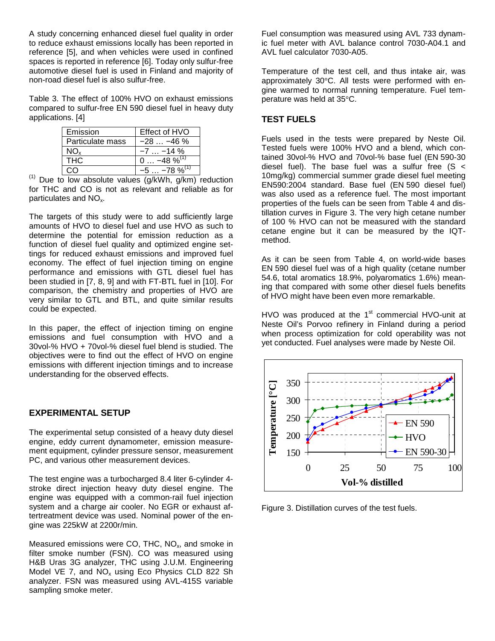A study concerning enhanced diesel fuel quality in order to reduce exhaust emissions locally has been reported in reference [5], and when vehicles were used in confined spaces is reported in reference [6]. Today only sulfur-free automotive diesel fuel is used in Finland and majority of non-road diesel fuel is also sulfur-free.

Table 3. The effect of 100% HVO on exhaust emissions compared to sulfur-free EN 590 diesel fuel in heavy duty applications. [4]

| Emission         | Effect of HVO |
|------------------|---------------|
| Particulate mass | $-28$ $-46\%$ |
|                  | $\dots$ –14 % |
| THC              |               |
|                  | -78 %         |

 $(1)$  Due to low absolute values (g/kWh, g/km) reduction for THC and CO is not as relevant and reliable as for particulates and NO<sub>x</sub>.

The targets of this study were to add sufficiently large amounts of HVO to diesel fuel and use HVO as such to determine the potential for emission reduction as a function of diesel fuel quality and optimized engine settings for reduced exhaust emissions and improved fuel economy. The effect of fuel injection timing on engine performance and emissions with GTL diesel fuel has been studied in [7, 8, 9] and with FT-BTL fuel in [10]. For comparison, the chemistry and properties of HVO are very similar to GTL and BTL, and quite similar results could be expected.

In this paper, the effect of injection timing on engine emissions and fuel consumption with HVO and a 30vol-% HVO + 70vol-% diesel fuel blend is studied. The objectives were to find out the effect of HVO on engine emissions with different injection timings and to increase understanding for the observed effects.

## **EXPERIMENTAL SETUP**

The experimental setup consisted of a heavy duty diesel engine, eddy current dynamometer, emission measurement equipment, cylinder pressure sensor, measurement PC, and various other measurement devices.

The test engine was a turbocharged 8.4 liter 6-cylinder 4 stroke direct injection heavy duty diesel engine. The engine was equipped with a common-rail fuel injection system and a charge air cooler. No EGR or exhaust aftertreatment device was used. Nominal power of the engine was 225kW at 2200r/min.

Measured emissions were CO, THC,  $NO<sub>x</sub>$ , and smoke in filter smoke number (FSN). CO was measured using H&B Uras 3G analyzer, THC using J.U.M. Engineering Model VE 7, and  $NO<sub>x</sub>$  using Eco Physics CLD 822 Sh analyzer. FSN was measured using AVL-415S variable sampling smoke meter.

Fuel consumption was measured using AVL 733 dynamic fuel meter with AVL balance control 7030-A04.1 and AVL fuel calculator 7030-A05.

Temperature of the test cell, and thus intake air, was approximately 30°C. All tests were performed with engine warmed to normal running temperature. Fuel temperature was held at 35°C.

# **TEST FUELS**

Fuels used in the tests were prepared by Neste Oil. Tested fuels were 100% HVO and a blend, which contained 30vol-% HVO and 70vol-% base fuel (EN 590-30 diesel fuel). The base fuel was a sulfur free  $(S <$ 10mg/kg) commercial summer grade diesel fuel meeting EN590:2004 standard. Base fuel (EN 590 diesel fuel) was also used as a reference fuel. The most important properties of the fuels can be seen from Table 4 and distillation curves in Figure 3. The very high cetane number of 100 % HVO can not be measured with the standard cetane engine but it can be measured by the IQTmethod.

As it can be seen from Table 4, on world-wide bases EN 590 diesel fuel was of a high quality (cetane number 54.6, total aromatics 18.9%, polyaromatics 1.6%) meaning that compared with some other diesel fuels benefits of HVO might have been even more remarkable.

HVO was produced at the  $1<sup>st</sup>$  commercial HVO-unit at Neste Oil's Porvoo refinery in Finland during a period when process optimization for cold operability was not yet conducted. Fuel analyses were made by Neste Oil.



Figure 3. Distillation curves of the test fuels.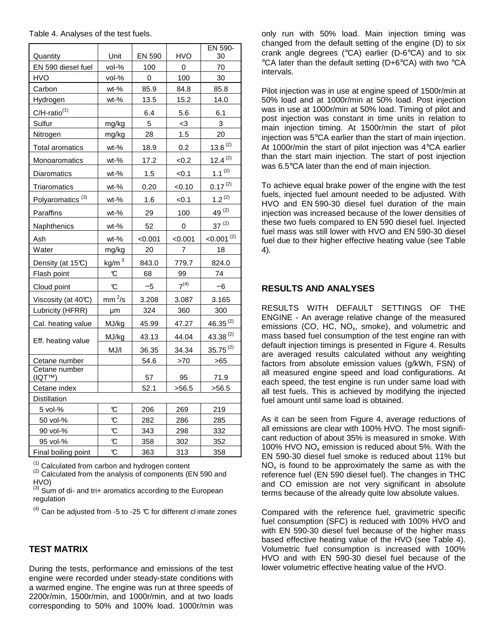Table 4. Analyses of the test fuels.

| Quantity                              | Unit              | EN 590  | <b>HVO</b> | EN 590-<br>30   |
|---------------------------------------|-------------------|---------|------------|-----------------|
| EN 590 diesel fuel                    | vol-%             | 100     | 0          | 70              |
| HVO                                   | vol-%             | 0       | 100        | 30              |
| Carbon                                | wt-%              | 85.9    | 84.8       | 85.8            |
| Hydrogen                              | wt-%              | 13.5    | 15.2       | 14.0            |
| $C/H$ -ratio $^{(1)}$                 |                   | 6.4     | 5.6        | 6.1             |
| Sulfur                                | mg/kg             | 5       | $3$        | 3               |
| Nitrogen                              | mg/kg             | 28      | 1.5        | 20              |
| <b>Total aromatics</b>                | $wt-%$            | 18.9    | 0.2        | $13.6^{(2)}$    |
| Monoaromatics                         | wt-%              | 17.2    | <0.2       | $12.4^{(2)}$    |
| Diaromatics                           | wt-%              | 1.5     | < 0.1      | $1.1^{(2)}$     |
| Triaromatics                          | $wt-%$            | 0.20    | <0.10      | $0.17^{(2)}$    |
| Polyaromatics <sup>(3)</sup>          | wt-%              | 1.6     | < 0.1      | $1.2^{(2)}$     |
| Paraffins                             | wt-%              | 29      | 100        | $49^{(2)}$      |
| Naphthenics                           | $wt-%$            | 52      | 0          | $37^{(2)}$      |
| Ash                                   | $wt-%$            | < 0.001 | < 0.001    | $< 0.001^{(2)}$ |
| Water                                 | mg/kg             | 20      | 7          | 18              |
| Density (at 15°C)                     | kg/m <sup>3</sup> | 843.0   | 779.7      | 824.0           |
| Flash point                           | C                 | 68      | 99         | 74              |
| Cloud point                           | C                 | $-5$    | $7^{(4)}$  | $-6$            |
| Viscosity (at 40°C)                   | $mm^2/s$          | 3.208   | 3.087      | 3.165           |
| Lubricity (HFRR)                      | μm                | 324     | 360        | 300             |
| Cal. heating value                    | MJ/kg             | 45.99   | 47.27      | $46.35^{(2)}$   |
| Eff. heating value                    | MJ/kg             | 43.13   | 44.04      | $43.38^{(2)}$   |
|                                       | MJ/1              | 36.35   | 34.34      | $35.75^{(2)}$   |
| Cetane number                         |                   | 54.6    | >70        | >65             |
| Cetane number<br>(IQT <sup>TM</sup> ) |                   | 57      | 95         | 71.9            |
| Cetane index                          |                   | 52.1    | >56.5      | >56.5           |
| Distillation                          |                   |         |            |                 |
| $5$ vol- $%$                          | C                 | 206     | 269        | 219             |
| 50 vol-%                              | C                 | 282     | 286        | 285             |
| 90 vol-%                              | $\mathfrak{C}$    | 343     | 298        | 332             |
| 95 vol-%                              | C                 | 358     | 302        | 352             |
| Final boiling point                   | Ć                 | 363     | 313        | 358             |

<sup>(1)</sup> Calculated from carbon and hydrogen content

(2) Calculated from the analysis of components (EN 590 and HVO)

 $^{(3)}$  Sum of di- and tri+ aromatics according to the European regulation

 $<sup>(4)</sup>$  Can be adjusted from -5 to -25 °C for different climate zones</sup>

## **TEST MATRIX**

During the tests, performance and emissions of the test engine were recorded under steady-state conditions with a warmed engine. The engine was run at three speeds of 2200r/min, 1500r/min, and 1000r/min, and at two loads corresponding to 50% and 100% load. 1000r/min was

only run with 50% load. Main injection timing was changed from the default setting of the engine (D) to six crank angle degrees (°CA) earlier (D-6°CA) and to six °CA later than the default setting (D+6°CA) with two °CA intervals.

Pilot injection was in use at engine speed of 1500r/min at 50% load and at 1000r/min at 50% load. Post injection was in use at 1000r/min at 50% load. Timing of pilot and post injection was constant in time units in relation to main injection timing. At 1500r/min the start of pilot injection was 5°CA earlier than the start of main injection. At 1000r/min the start of pilot injection was 4°CA earlier than the start main injection. The start of post injection was 6.5°CA later than the end of main injection.

To achieve equal brake power of the engine with the test fuels, injected fuel amount needed to be adjusted. With HVO and EN 590-30 diesel fuel duration of the main injection was increased because of the lower densities of these two fuels compared to EN 590 diesel fuel. Injected fuel mass was still lower with HVO and EN 590-30 diesel fuel due to their higher effective heating value (see Table 4).

# **RESULTS AND ANALYSES**

RESULTS WITH DEFAULT SETTINGS OF THE ENGINE - An average relative change of the measured emissions (CO, HC,  $NO<sub>x</sub>$ , smoke), and volumetric and mass based fuel consumption of the test engine ran with default injection timings is presented in Figure 4. Results are averaged results calculated without any weighting factors from absolute emission values (g/kWh, FSN) of all measured engine speed and load configurations. At each speed, the test engine is run under same load with all test fuels. This is achieved by modifying the injected fuel amount until same load is obtained.

As it can be seen from Figure 4, average reductions of all emissions are clear with 100% HVO. The most significant reduction of about 35% is measured in smoke. With 100% HVO  $NO<sub>x</sub>$  emission is reduced about 5%. With the EN 590-30 diesel fuel smoke is reduced about 11% but  $NO<sub>x</sub>$  is found to be approximately the same as with the reference fuel (EN 590 diesel fuel). The changes in THC and CO emission are not very significant in absolute terms because of the already quite low absolute values.

Compared with the reference fuel, gravimetric specific fuel consumption (SFC) is reduced with 100% HVO and with EN 590-30 diesel fuel because of the higher mass based effective heating value of the HVO (see Table 4). Volumetric fuel consumption is increased with 100% HVO and with EN 590-30 diesel fuel because of the lower volumetric effective heating value of the HVO.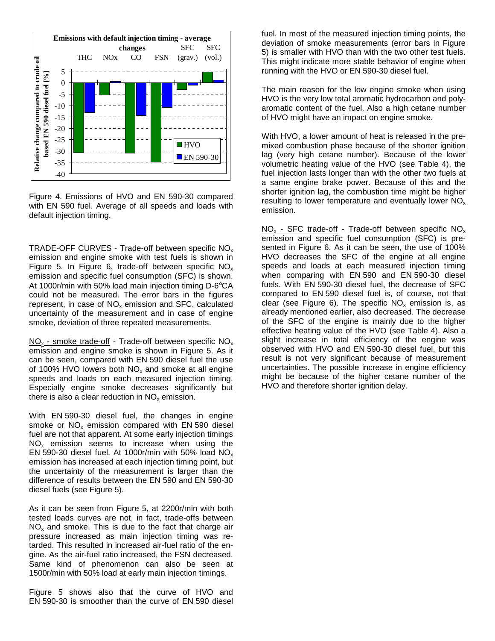

Figure 4. Emissions of HVO and EN 590-30 compared with EN 590 fuel. Average of all speeds and loads with default injection timing.

TRADE-OFF CURVES - Trade-off between specific NO<sup>x</sup> emission and engine smoke with test fuels is shown in Figure 5. In Figure 6, trade-off between specific  $NO<sub>x</sub>$ emission and specific fuel consumption (SFC) is shown. At 1000r/min with 50% load main injection timing D-6°CA could not be measured. The error bars in the figures represent, in case of  $NO<sub>x</sub>$  emission and SFC, calculated uncertainty of the measurement and in case of engine smoke, deviation of three repeated measurements.

 $NO<sub>x</sub>$  - smoke trade-off - Trade-off between specific NO<sub>x</sub> emission and engine smoke is shown in Figure 5. As it can be seen, compared with EN 590 diesel fuel the use of 100% HVO lowers both  $NO<sub>x</sub>$  and smoke at all engine speeds and loads on each measured injection timing. Especially engine smoke decreases significantly but there is also a clear reduction in  $NO<sub>x</sub>$  emission.

With EN 590-30 diesel fuel, the changes in engine smoke or  $NO<sub>x</sub>$  emission compared with EN 590 diesel fuel are not that apparent. At some early injection timings  $NO<sub>x</sub>$  emission seems to increase when using the EN 590-30 diesel fuel. At 1000r/min with 50% load  $NO<sub>x</sub>$ emission has increased at each injection timing point, but the uncertainty of the measurement is larger than the difference of results between the EN 590 and EN 590-30 diesel fuels (see Figure 5).

As it can be seen from Figure 5, at 2200r/min with both tested loads curves are not, in fact, trade-offs between  $NO<sub>x</sub>$  and smoke. This is due to the fact that charge air pressure increased as main injection timing was retarded. This resulted in increased air-fuel ratio of the engine. As the air-fuel ratio increased, the FSN decreased. Same kind of phenomenon can also be seen at 1500r/min with 50% load at early main injection timings.

Figure 5 shows also that the curve of HVO and EN 590-30 is smoother than the curve of EN 590 diesel

fuel. In most of the measured injection timing points, the deviation of smoke measurements (error bars in Figure 5) is smaller with HVO than with the two other test fuels. This might indicate more stable behavior of engine when running with the HVO or EN 590-30 diesel fuel.

The main reason for the low engine smoke when using HVO is the very low total aromatic hydrocarbon and polyaromatic content of the fuel. Also a high cetane number of HVO might have an impact on engine smoke.

With HVO, a lower amount of heat is released in the premixed combustion phase because of the shorter ignition lag (very high cetane number). Because of the lower volumetric heating value of the HVO (see Table 4), the fuel injection lasts longer than with the other two fuels at a same engine brake power. Because of this and the shorter ignition lag, the combustion time might be higher resulting to lower temperature and eventually lower  $NO<sub>x</sub>$ emission.

 $NO<sub>x</sub>$  - SFC trade-off - Trade-off between specific  $NO<sub>x</sub>$ emission and specific fuel consumption (SFC) is presented in Figure 6. As it can be seen, the use of 100% HVO decreases the SFC of the engine at all engine speeds and loads at each measured injection timing when comparing with EN 590 and EN 590-30 diesel fuels. With EN 590-30 diesel fuel, the decrease of SFC compared to EN 590 diesel fuel is, of course, not that clear (see Figure 6). The specific  $NO<sub>x</sub>$  emission is, as already mentioned earlier, also decreased. The decrease of the SFC of the engine is mainly due to the higher effective heating value of the HVO (see Table 4). Also a slight increase in total efficiency of the engine was observed with HVO and EN 590-30 diesel fuel, but this result is not very significant because of measurement uncertainties. The possible increase in engine efficiency might be because of the higher cetane number of the HVO and therefore shorter ignition delay.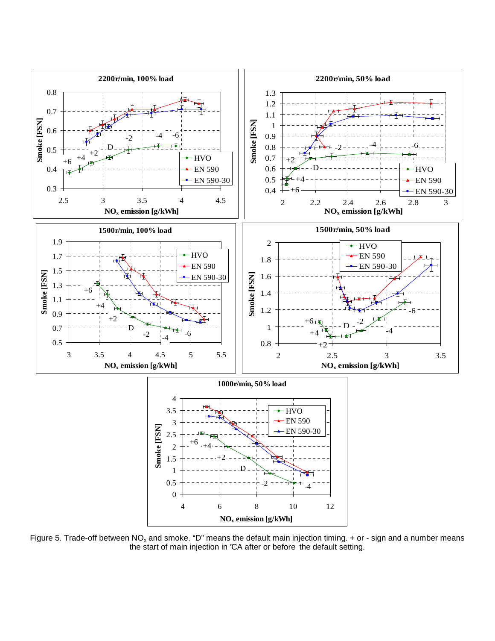

Figure 5. Trade-off between NO<sub>x</sub> and smoke. "D" means the default main injection timing.  $+$  or - sign and a number means the start of main injection in °CA after or before the default setting.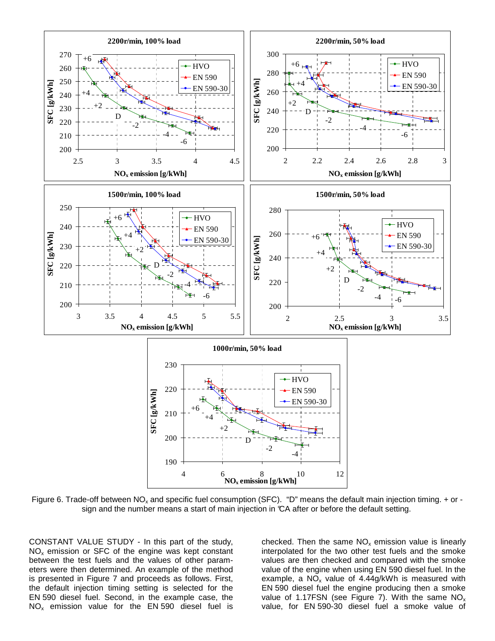

Figure 6. Trade-off between  $NO_x$  and specific fuel consumption (SFC). "D" means the default main injection timing. + or sign and the number means a start of main injection in  $CA$  after or before the default setting.

CONSTANT VALUE STUDY - In this part of the study,  $NO<sub>x</sub>$  emission or SFC of the engine was kept constant between the test fuels and the values of other parameters were then determined. An example of the method is presented in Figure 7 and proceeds as follows. First, the default injection timing setting is selected for the EN 590 diesel fuel. Second, in the example case, the  $NO<sub>x</sub>$  emission value for the EN 590 diesel fuel is

checked. Then the same  $NO<sub>x</sub>$  emission value is linearly interpolated for the two other test fuels and the smoke values are then checked and compared with the smoke value of the engine when using EN 590 diesel fuel. In the example, a  $NO<sub>x</sub>$  value of 4.44g/kWh is measured with EN 590 diesel fuel the engine producing then a smoke value of 1.17FSN (see Figure 7). With the same  $NO<sub>x</sub>$ value, for EN 590-30 diesel fuel a smoke value of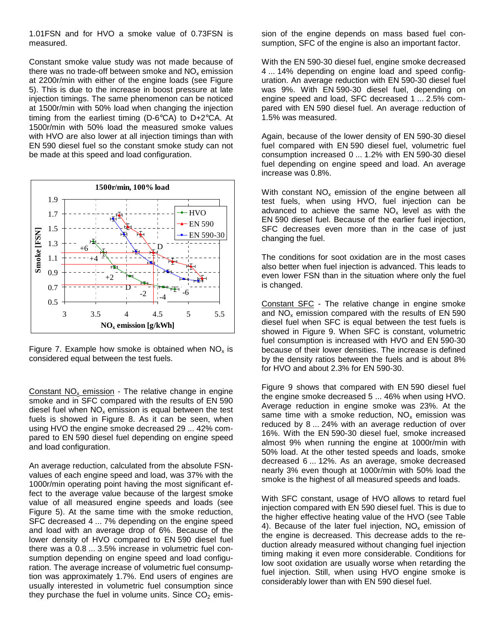1.01FSN and for HVO a smoke value of 0.73FSN is measured.

Constant smoke value study was not made because of there was no trade-off between smoke and  $NO<sub>x</sub>$  emission at 2200r/min with either of the engine loads (see Figure 5). This is due to the increase in boost pressure at late injection timings. The same phenomenon can be noticed at 1500r/min with 50% load when changing the injection timing from the earliest timing (D-6°CA) to D+2°CA. At 1500r/min with 50% load the measured smoke values with HVO are also lower at all injection timings than with EN 590 diesel fuel so the constant smoke study can not be made at this speed and load configuration.



Figure 7. Example how smoke is obtained when  $NO<sub>x</sub>$  is considered equal between the test fuels.

Constant  $NO<sub>x</sub>$  emission - The relative change in engine smoke and in SFC compared with the results of EN 590 diesel fuel when  $NO<sub>x</sub>$  emission is equal between the test fuels is showed in Figure 8. As it can be seen, when using HVO the engine smoke decreased 29 ... 42% compared to EN 590 diesel fuel depending on engine speed and load configuration.

An average reduction, calculated from the absolute FSNvalues of each engine speed and load, was 37% with the 1000r/min operating point having the most significant effect to the average value because of the largest smoke value of all measured engine speeds and loads (see Figure 5). At the same time with the smoke reduction, SFC decreased 4 ... 7% depending on the engine speed and load with an average drop of 6%. Because of the lower density of HVO compared to EN 590 diesel fuel there was a 0.8 ... 3.5% increase in volumetric fuel consumption depending on engine speed and load configuration. The average increase of volumetric fuel consumption was approximately 1.7%. End users of engines are usually interested in volumetric fuel consumption since they purchase the fuel in volume units. Since  $CO<sub>2</sub>$  emission of the engine depends on mass based fuel consumption, SFC of the engine is also an important factor.

With the EN 590-30 diesel fuel, engine smoke decreased 4 ... 14% depending on engine load and speed configuration. An average reduction with EN 590-30 diesel fuel was 9%. With EN 590-30 diesel fuel, depending on engine speed and load, SFC decreased 1 ... 2.5% compared with EN 590 diesel fuel. An average reduction of 1.5% was measured.

Again, because of the lower density of EN 590-30 diesel fuel compared with EN 590 diesel fuel, volumetric fuel consumption increased 0 ... 1.2% with EN 590-30 diesel fuel depending on engine speed and load. An average increase was 0.8%.

With constant  $NO<sub>x</sub>$  emission of the engine between all test fuels, when using HVO, fuel injection can be advanced to achieve the same  $NO<sub>x</sub>$  level as with the EN 590 diesel fuel. Because of the earlier fuel injection, SFC decreases even more than in the case of just changing the fuel.

The conditions for soot oxidation are in the most cases also better when fuel injection is advanced. This leads to even lower FSN than in the situation where only the fuel is changed.

Constant SFC - The relative change in engine smoke and  $NO<sub>x</sub>$  emission compared with the results of EN 590 diesel fuel when SFC is equal between the test fuels is showed in Figure 9. When SFC is constant, volumetric fuel consumption is increased with HVO and EN 590-30 because of their lower densities. The increase is defined by the density ratios between the fuels and is about 8% for HVO and about 2.3% for EN 590-30.

Figure 9 shows that compared with EN 590 diesel fuel the engine smoke decreased 5 ... 46% when using HVO. Average reduction in engine smoke was 23%. At the same time with a smoke reduction,  $NO<sub>x</sub>$  emission was reduced by 8 ... 24% with an average reduction of over 16%. With the EN 590-30 diesel fuel, smoke increased almost 9% when running the engine at 1000r/min with 50% load. At the other tested speeds and loads, smoke decreased 6 ... 12%. As an average, smoke decreased nearly 3% even though at 1000r/min with 50% load the smoke is the highest of all measured speeds and loads.

With SFC constant, usage of HVO allows to retard fuel injection compared with EN 590 diesel fuel. This is due to the higher effective heating value of the HVO (see Table 4). Because of the later fuel injection,  $NO<sub>x</sub>$  emission of the engine is decreased. This decrease adds to the reduction already measured without changing fuel injection timing making it even more considerable. Conditions for low soot oxidation are usually worse when retarding the fuel injection. Still, when using HVO engine smoke is considerably lower than with EN 590 diesel fuel.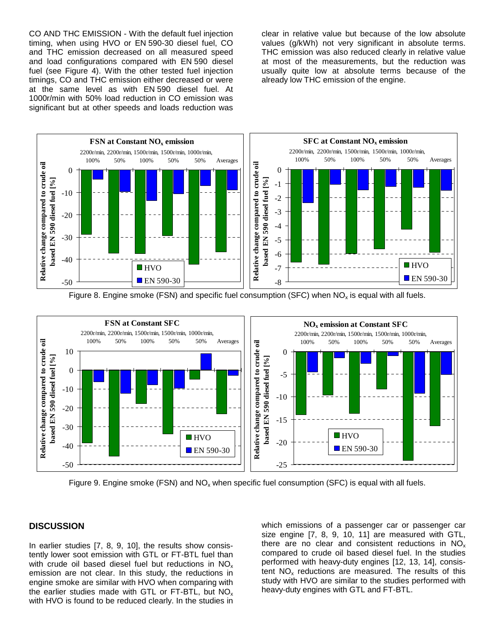CO AND THC EMISSION - With the default fuel injection timing, when using HVO or EN 590-30 diesel fuel, CO and THC emission decreased on all measured speed and load configurations compared with EN 590 diesel fuel (see Figure 4). With the other tested fuel injection timings, CO and THC emission either decreased or were at the same level as with EN 590 diesel fuel. At 1000r/min with 50% load reduction in CO emission was significant but at other speeds and loads reduction was

clear in relative value but because of the low absolute values (g/kWh) not very significant in absolute terms. THC emission was also reduced clearly in relative value at most of the measurements, but the reduction was usually quite low at absolute terms because of the already low THC emission of the engine.



Figure 8. Engine smoke (FSN) and specific fuel consumption (SFC) when  $NO<sub>x</sub>$  is equal with all fuels.



Figure 9. Engine smoke (FSN) and NO<sub>x</sub> when specific fuel consumption (SFC) is equal with all fuels.

#### **DISCUSSION**

In earlier studies [7, 8, 9, 10], the results show consistently lower soot emission with GTL or FT-BTL fuel than with crude oil based diesel fuel but reductions in  $NO<sub>x</sub>$ emission are not clear. In this study, the reductions in engine smoke are similar with HVO when comparing with the earlier studies made with GTL or FT-BTL, but  $NO<sub>x</sub>$ with HVO is found to be reduced clearly. In the studies in

which emissions of a passenger car or passenger car size engine [7, 8, 9, 10, 11] are measured with GTL, there are no clear and consistent reductions in  $NO<sub>x</sub>$ compared to crude oil based diesel fuel. In the studies performed with heavy-duty engines [12, 13, 14], consistent  $NO<sub>x</sub>$  reductions are measured. The results of this study with HVO are similar to the studies performed with heavy-duty engines with GTL and FT-BTL.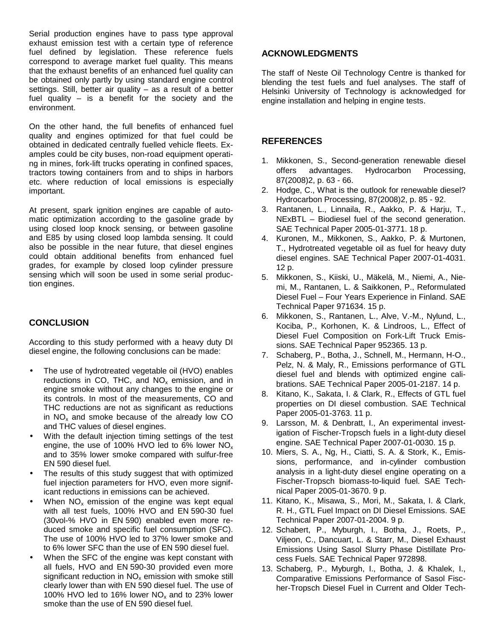Serial production engines have to pass type approval exhaust emission test with a certain type of reference fuel defined by legislation. These reference fuels correspond to average market fuel quality. This means that the exhaust benefits of an enhanced fuel quality can be obtained only partly by using standard engine control settings. Still, better air quality – as a result of a better fuel quality – is a benefit for the society and the environment.

On the other hand, the full benefits of enhanced fuel quality and engines optimized for that fuel could be obtained in dedicated centrally fuelled vehicle fleets. Examples could be city buses, non-road equipment operating in mines, fork-lift trucks operating in confined spaces, tractors towing containers from and to ships in harbors etc. where reduction of local emissions is especially important.

At present, spark ignition engines are capable of automatic optimization according to the gasoline grade by using closed loop knock sensing, or between gasoline and E85 by using closed loop lambda sensing. It could also be possible in the near future, that diesel engines could obtain additional benefits from enhanced fuel grades, for example by closed loop cylinder pressure sensing which will soon be used in some serial production engines.

# **CONCLUSION**

According to this study performed with a heavy duty DI diesel engine, the following conclusions can be made:

- The use of hydrotreated vegetable oil (HVO) enables reductions in CO, THC, and  $NO<sub>x</sub>$  emission, and in engine smoke without any changes to the engine or its controls. In most of the measurements, CO and THC reductions are not as significant as reductions in  $NO<sub>x</sub>$  and smoke because of the already low CO and THC values of diesel engines.
- With the default injection timing settings of the test engine, the use of 100% HVO led to  $6\%$  lower NO<sub>x</sub> and to 35% lower smoke compared with sulfur-free EN 590 diesel fuel.
- The results of this study suggest that with optimized fuel injection parameters for HVO, even more significant reductions in emissions can be achieved.
- When  $NO<sub>x</sub>$  emission of the engine was kept equal with all test fuels, 100% HVO and EN 590-30 fuel (30vol-% HVO in EN 590) enabled even more reduced smoke and specific fuel consumption (SFC). The use of 100% HVO led to 37% lower smoke and to 6% lower SFC than the use of EN 590 diesel fuel.
- When the SFC of the engine was kept constant with all fuels, HVO and EN 590-30 provided even more significant reduction in  $NO<sub>x</sub>$  emission with smoke still clearly lower than with EN 590 diesel fuel. The use of 100% HVO led to 16% lower  $NO<sub>x</sub>$  and to 23% lower smoke than the use of EN 590 diesel fuel.

## **ACKNOWLEDGMENTS**

The staff of Neste Oil Technology Centre is thanked for blending the test fuels and fuel analyses. The staff of Helsinki University of Technology is acknowledged for engine installation and helping in engine tests.

#### **REFERENCES**

- 1. Mikkonen, S., Second-generation renewable diesel offers advantages. Hydrocarbon Processing, 87(2008)2, p. 63 - 66.
- 2. Hodge, C., What is the outlook for renewable diesel? Hydrocarbon Processing, 87(2008)2, p. 85 - 92.
- 3. Rantanen, L., Linnaila, R., Aakko, P. & Harju, T., NExBTL – Biodiesel fuel of the second generation. SAE Technical Paper 2005-01-3771. 18 p.
- 4. Kuronen, M., Mikkonen, S., Aakko, P. & Murtonen, T., Hydrotreated vegetable oil as fuel for heavy duty diesel engines. SAE Technical Paper 2007-01-4031. 12 p.
- 5. Mikkonen, S., Kiiski, U., Mäkelä, M., Niemi, A., Niemi, M., Rantanen, L. & Saikkonen, P., Reformulated Diesel Fuel – Four Years Experience in Finland. SAE Technical Paper 971634. 15 p.
- 6. Mikkonen, S., Rantanen, L., Alve, V.-M., Nylund, L., Kociba, P., Korhonen, K. & Lindroos, L., Effect of Diesel Fuel Composition on Fork-Lift Truck Emissions. SAE Technical Paper 952365. 13 p.
- 7. Schaberg, P., Botha, J., Schnell, M., Hermann, H-O., Pelz, N. & Maly, R., Emissions performance of GTL diesel fuel and blends with optimized engine calibrations. SAE Technical Paper 2005-01-2187. 14 p.
- 8. Kitano, K., Sakata, I. & Clark, R., Effects of GTL fuel properties on DI diesel combustion. SAE Technical Paper 2005-01-3763. 11 p.
- 9. Larsson, M. & Denbratt, I., An experimental investigation of Fischer-Tropsch fuels in a light-duty diesel engine. SAE Technical Paper 2007-01-0030. 15 p.
- 10. Miers, S. A., Ng, H., Ciatti, S. A. & Stork, K., Emissions, performance, and in-cylinder combustion analysis in a light-duty diesel engine operating on a Fischer-Tropsch biomass-to-liquid fuel. SAE Technical Paper 2005-01-3670. 9 p.
- 11. Kitano, K., Misawa, S., Mori, M., Sakata, I. & Clark, R. H., GTL Fuel Impact on DI Diesel Emissions. SAE Technical Paper 2007-01-2004. 9 p.
- 12. Schabert, P., Myburgh, I., Botha, J., Roets, P., Viljeon, C., Dancuart, L. & Starr, M., Diesel Exhaust Emissions Using Sasol Slurry Phase Distillate Process Fuels. SAE Technical Paper 972898.
- 13. Schaberg, P., Myburgh, I., Botha, J. & Khalek, I., Comparative Emissions Performance of Sasol Fischer-Tropsch Diesel Fuel in Current and Older Tech-